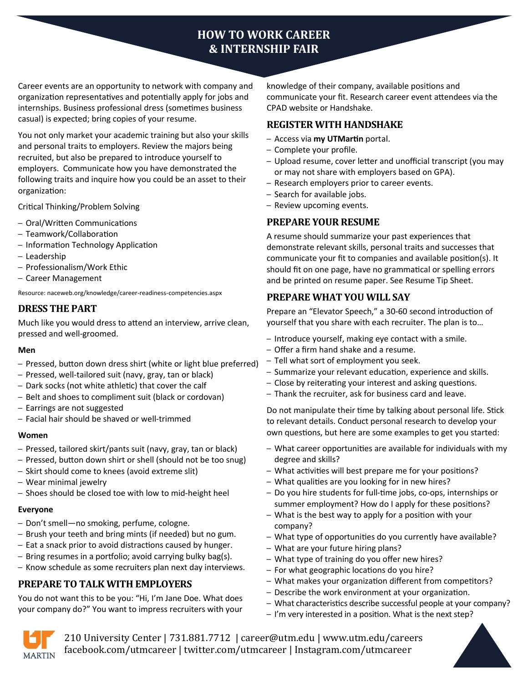# **HOW TO WORK CAREER & INTERNSHIP FAIR**

Career events are an opportunity to network with company and organization representatives and potentially apply for jobs and internships. Business professional dress (sometimes business casual) is expected; bring copies of your resume.

You not only market your academic training but also your skills and personal traits to employers. Review the majors being recruited, but also be prepared to introduce yourself to employers. Communicate how you have demonstrated the following traits and inquire how you could be an asset to their organization:

Critical Thinking/Problem Solving

- Oral/Written Communications
- Teamwork/Collaboration
- Information Technology Application
- Leadership
- Professionalism/Work Ethic
- Career Management

Resource: naceweb.org/knowledge/career-readiness-competencies.aspx

# **DRESS THE PART**

Much like you would dress to attend an interview, arrive clean, pressed and well-groomed.

#### **Men**

- Pressed, button down dress shirt (white or light blue preferred)
- Pressed, well-tailored suit (navy, gray, tan or black)
- Dark socks (not white athletic) that cover the calf
- Belt and shoes to compliment suit (black or cordovan)
- Earrings are not suggested
- Facial hair should be shaved or well-trimmed

#### **Women**

- Pressed, tailored skirt/pants suit (navy, gray, tan or black)
- Pressed, button down shirt or shell (should not be too snug)
- Skirt should come to knees (avoid extreme slit)
- Wear minimal jewelry
- Shoes should be closed toe with low to mid-height heel

#### **Everyone**

- Don't smell—no smoking, perfume, cologne.
- Brush your teeth and bring mints (if needed) but no gum.
- Eat a snack prior to avoid distractions caused by hunger.
- Bring resumes in a portfolio; avoid carrying bulky bag(s).
- Know schedule as some recruiters plan next day interviews.

# **PREPARE TO TALK WITH EMPLOYERS**

You do not want this to be you: "Hi, I'm Jane Doe. What does your company do?" You want to impress recruiters with your

knowledge of their company, available positions and communicate your fit. Research career event attendees via the CPAD website or Handshake.

### **REGISTER WITH HANDSHAKE**

- Access via **my UTMartin** portal.
- Complete your profile.
- Upload resume, cover letter and unofficial transcript (you may or may not share with employers based on GPA).
- Research employers prior to career events.
- Search for available jobs.
- Review upcoming events.

# **PREPARE YOUR RESUME**

A resume should summarize your past experiences that demonstrate relevant skills, personal traits and successes that communicate your fit to companies and available position(s). It should fit on one page, have no grammatical or spelling errors and be printed on resume paper. See Resume Tip Sheet.

# **PREPARE WHAT YOU WILL SAY**

Prepare an "Elevator Speech," a 30-60 second introduction of yourself that you share with each recruiter. The plan is to…

- Introduce yourself, making eye contact with a smile.
- Offer a firm hand shake and a resume.
- Tell what sort of employment you seek.
- Summarize your relevant education, experience and skills.
- Close by reiterating your interest and asking questions.
- Thank the recruiter, ask for business card and leave.

Do not manipulate their time by talking about personal life. Stick to relevant details. Conduct personal research to develop your own questions, but here are some examples to get you started:

- What career opportunities are available for individuals with my degree and skills?
- What activities will best prepare me for your positions?
- What qualities are you looking for in new hires?
- Do you hire students for full-time jobs, co-ops, internships or summer employment? How do I apply for these positions?
- What is the best way to apply for a position with your company?
- What type of opportunities do you currently have available?
- What are your future hiring plans?
- What type of training do you offer new hires?
- For what geographic locations do you hire?
- What makes your organization different from competitors?
- Describe the work environment at your organization.
- What characteristics describe successful people at your company?
- I'm very interested in a position. What is the next step?



210 University Center | 731.881.7712 | career@utm.edu | www.utm.edu/careers facebook.com/utmcareer | twitter.com/utmcareer | Instagram.com/utmcareer